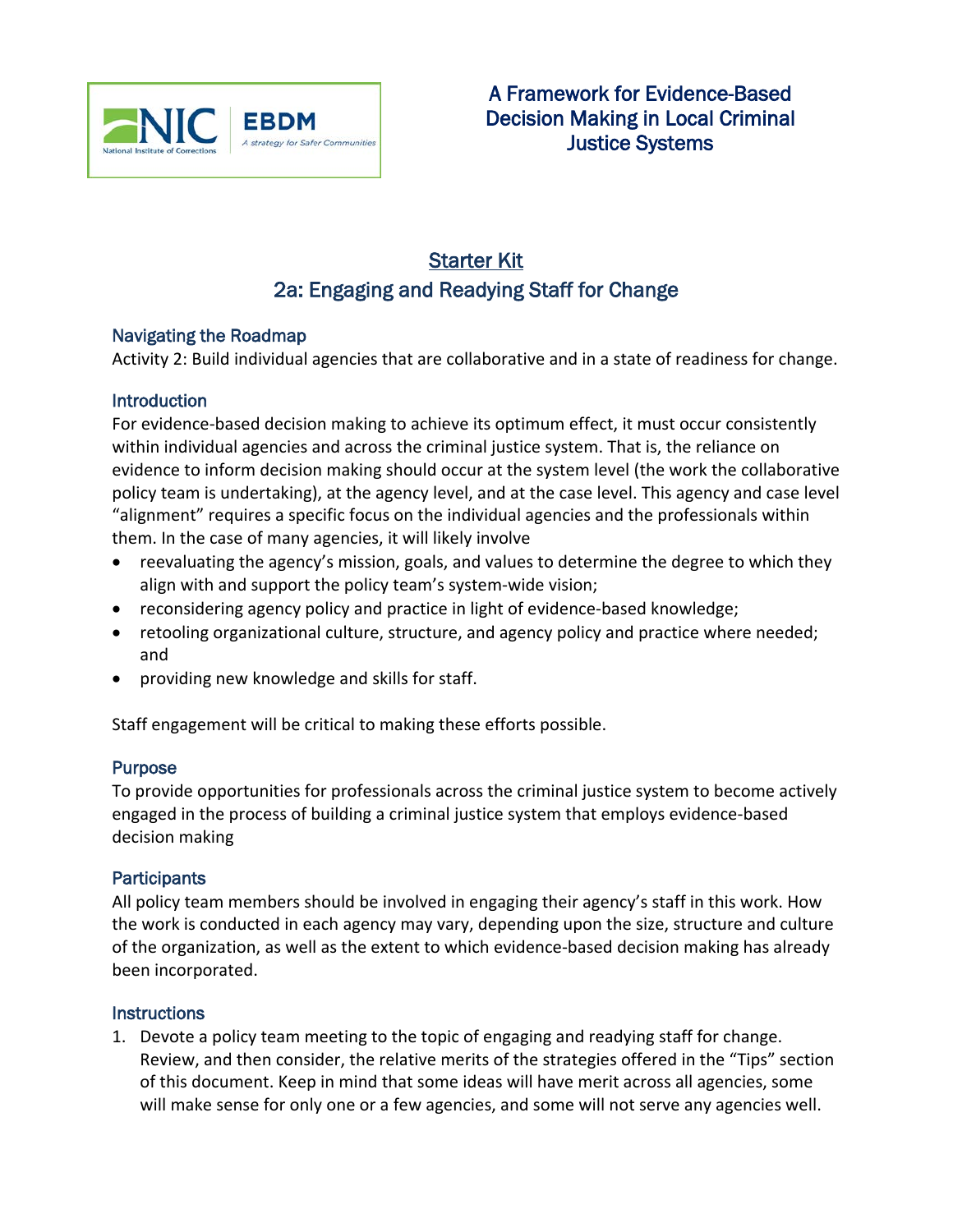

# Starter Kit 2a: Engaging and Readying Staff for Change

#### Navigating the Roadmap

Activity 2: Build individual agencies that are collaborative and in a state of readiness for change.

#### **Introduction**

For evidence-based decision making to achieve its optimum effect, it must occur consistently within individual agencies and across the criminal justice system. That is, the reliance on evidence to inform decision making should occur at the system level (the work the collaborative policy team is undertaking), at the agency level, and at the case level. This agency and case level "alignment" requires a specific focus on the individual agencies and the professionals within them. In the case of many agencies, it will likely involve

- reevaluating the agency's mission, goals, and values to determine the degree to which they align with and support the policy team's system-wide vision;
- reconsidering agency policy and practice in light of evidence-based knowledge;
- retooling organizational culture, structure, and agency policy and practice where needed; and
- providing new knowledge and skills for staff.

Staff engagement will be critical to making these efforts possible.

### **Purpose**

To provide opportunities for professionals across the criminal justice system to become actively engaged in the process of building a criminal justice system that employs evidence-based decision making

#### **Participants**

All policy team members should be involved in engaging their agency's staff in this work. How the work is conducted in each agency may vary, depending upon the size, structure and culture of the organization, as well as the extent to which evidence-based decision making has already been incorporated.

#### **Instructions**

1. Devote a policy team meeting to the topic of engaging and readying staff for change. Review, and then consider, the relative merits of the strategies offered in the "Tips" section of this document. Keep in mind that some ideas will have merit across all agencies, some will make sense for only one or a few agencies, and some will not serve any agencies well.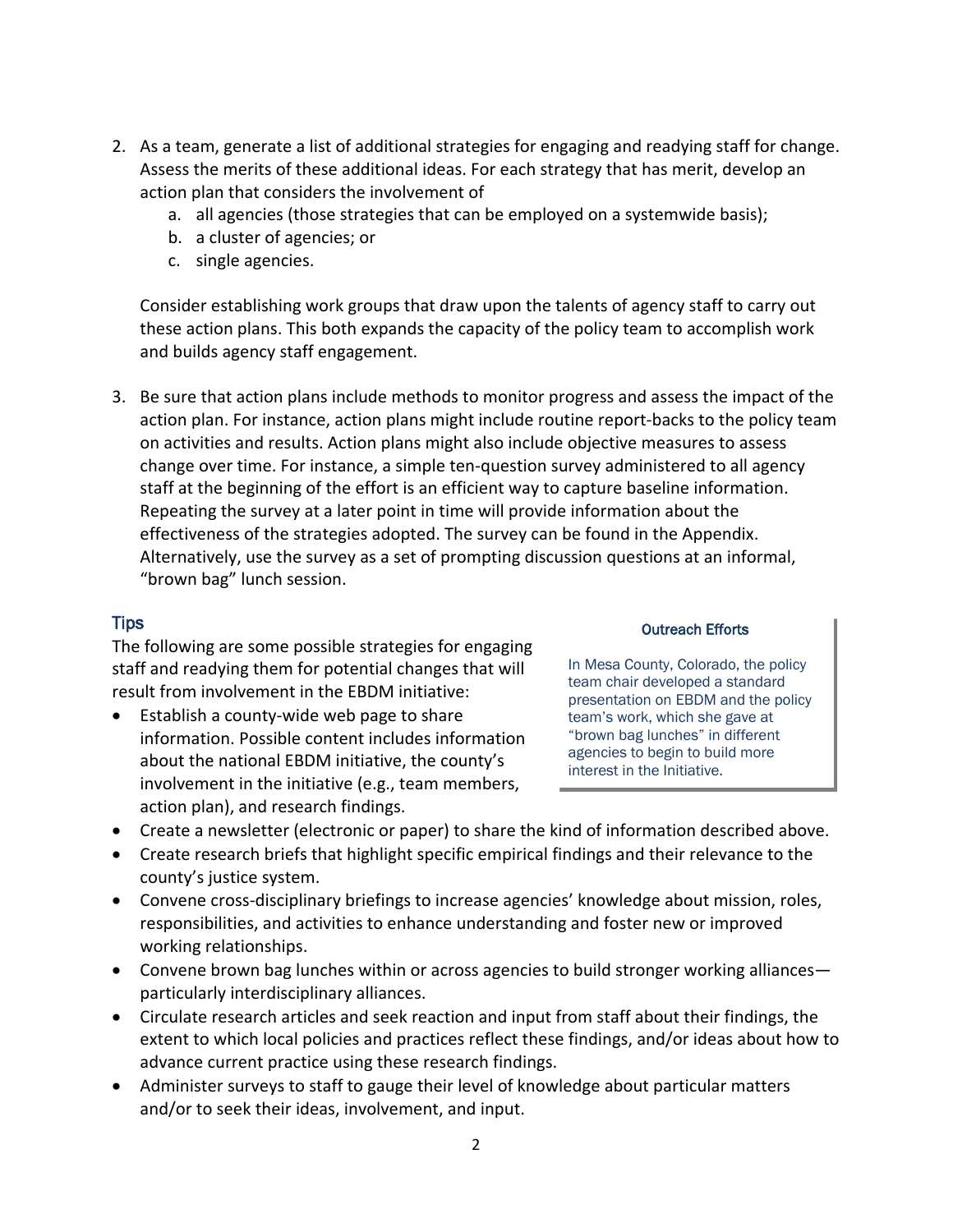- 2. As a team, generate a list of additional strategies for engaging and readying staff for change. Assess the merits of these additional ideas. For each strategy that has merit, develop an action plan that considers the involvement of
	- a. all agencies (those strategies that can be employed on a systemwide basis);
	- b. a cluster of agencies; or
	- c. single agencies.

Consider establishing work groups that draw upon the talents of agency staff to carry out these action plans. This both expands the capacity of the policy team to accomplish work and builds agency staff engagement.

3. Be sure that action plans include methods to monitor progress and assess the impact of the action plan. For instance, action plans might include routine report-backs to the policy team on activities and results. Action plans might also include objective measures to assess change over time. For instance, a simple ten-question survey administered to all agency staff at the beginning of the effort is an efficient way to capture baseline information. Repeating the survey at a later point in time will provide information about the effectiveness of the strategies adopted. The survey can be found in the Appendix. Alternatively, use the survey as a set of prompting discussion questions at an informal, "brown bag" lunch session.

#### Tips

The following are some possible strategies for engaging staff and readying them for potential changes that will result from involvement in the EBDM initiative:

• Establish a county-wide web page to share information. Possible content includes information about the national EBDM initiative, the county's involvement in the initiative (e.g., team members, action plan), and research findings.

#### Outreach Efforts

In Mesa County, Colorado, the policy team chair developed a standard presentation on EBDM and the policy team's work, which she gave at "brown bag lunches" in different agencies to begin to build more interest in the Initiative.

- Create a newsletter (electronic or paper) to share the kind of information described above.
- Create research briefs that highlight specific empirical findings and their relevance to the county's justice system.
- Convene cross-disciplinary briefings to increase agencies' knowledge about mission, roles, responsibilities, and activities to enhance understanding and foster new or improved working relationships.
- Convene brown bag lunches within or across agencies to build stronger working alliances particularly interdisciplinary alliances.
- Circulate research articles and seek reaction and input from staff about their findings, the extent to which local policies and practices reflect these findings, and/or ideas about how to advance current practice using these research findings.
- Administer surveys to staff to gauge their level of knowledge about particular matters and/or to seek their ideas, involvement, and input.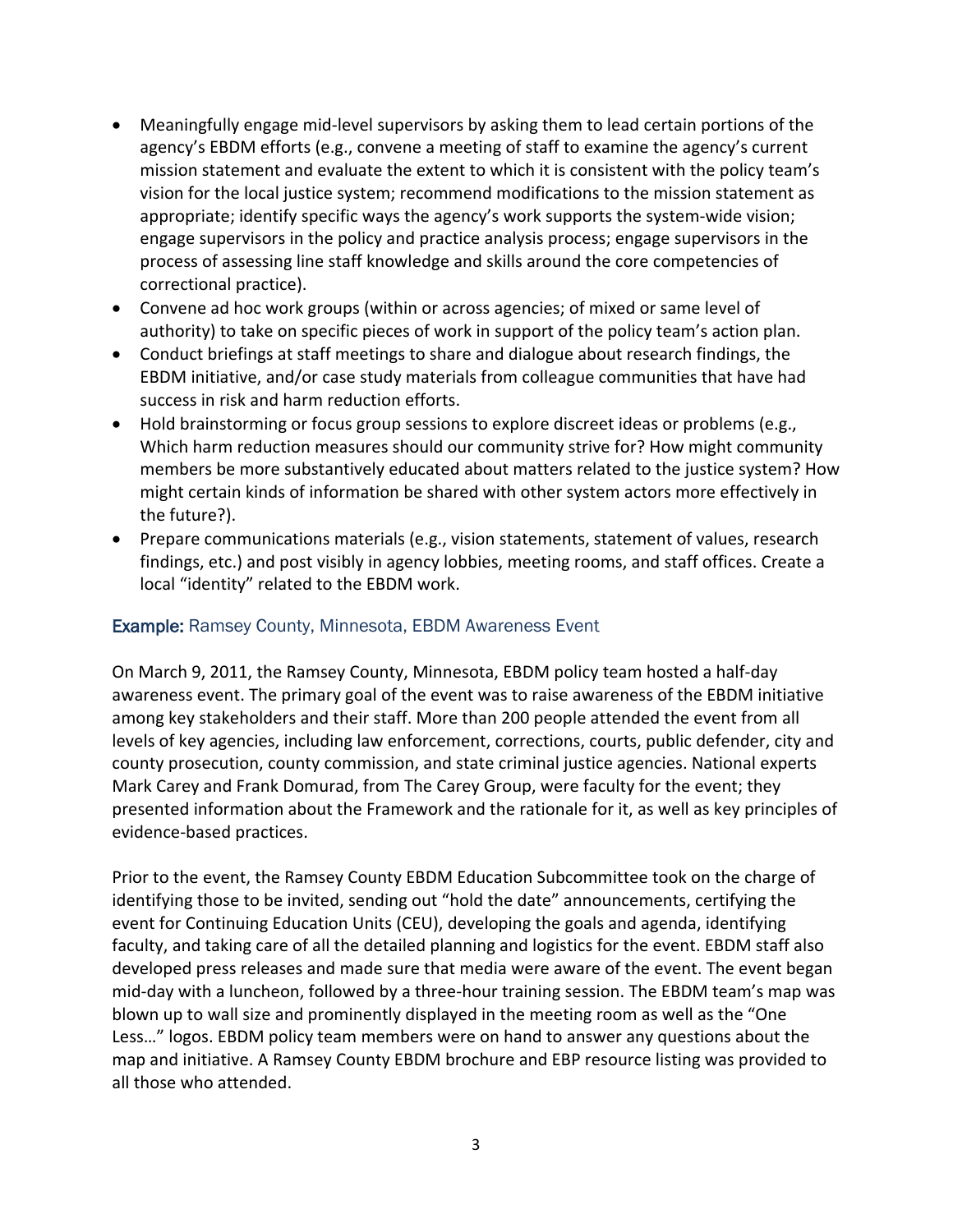- Meaningfully engage mid-level supervisors by asking them to lead certain portions of the agency's EBDM efforts (e.g., convene a meeting of staff to examine the agency's current mission statement and evaluate the extent to which it is consistent with the policy team's vision for the local justice system; recommend modifications to the mission statement as appropriate; identify specific ways the agency's work supports the system-wide vision; engage supervisors in the policy and practice analysis process; engage supervisors in the process of assessing line staff knowledge and skills around the core competencies of correctional practice).
- Convene ad hoc work groups (within or across agencies; of mixed or same level of authority) to take on specific pieces of work in support of the policy team's action plan.
- Conduct briefings at staff meetings to share and dialogue about research findings, the EBDM initiative, and/or case study materials from colleague communities that have had success in risk and harm reduction efforts.
- Hold brainstorming or focus group sessions to explore discreet ideas or problems (e.g., Which harm reduction measures should our community strive for? How might community members be more substantively educated about matters related to the justice system? How might certain kinds of information be shared with other system actors more effectively in the future?).
- Prepare communications materials (e.g., vision statements, statement of values, research findings, etc.) and post visibly in agency lobbies, meeting rooms, and staff offices. Create a local "identity" related to the EBDM work.

### Example: Ramsey County, Minnesota, EBDM Awareness Event

On March 9, 2011, the Ramsey County, Minnesota, EBDM policy team hosted a half-day awareness event. The primary goal of the event was to raise awareness of the EBDM initiative among key stakeholders and their staff. More than 200 people attended the event from all levels of key agencies, including law enforcement, corrections, courts, public defender, city and county prosecution, county commission, and state criminal justice agencies. National experts Mark Carey and Frank Domurad, from The Carey Group, were faculty for the event; they presented information about the Framework and the rationale for it, as well as key principles of evidence-based practices.

Prior to the event, the Ramsey County EBDM Education Subcommittee took on the charge of identifying those to be invited, sending out "hold the date" announcements, certifying the event for Continuing Education Units (CEU), developing the goals and agenda, identifying faculty, and taking care of all the detailed planning and logistics for the event. EBDM staff also developed press releases and made sure that media were aware of the event. The event began mid-day with a luncheon, followed by a three-hour training session. The EBDM team's map was blown up to wall size and prominently displayed in the meeting room as well as the "One Less…" logos. EBDM policy team members were on hand to answer any questions about the map and initiative. A Ramsey County EBDM brochure and EBP resource listing was provided to all those who attended.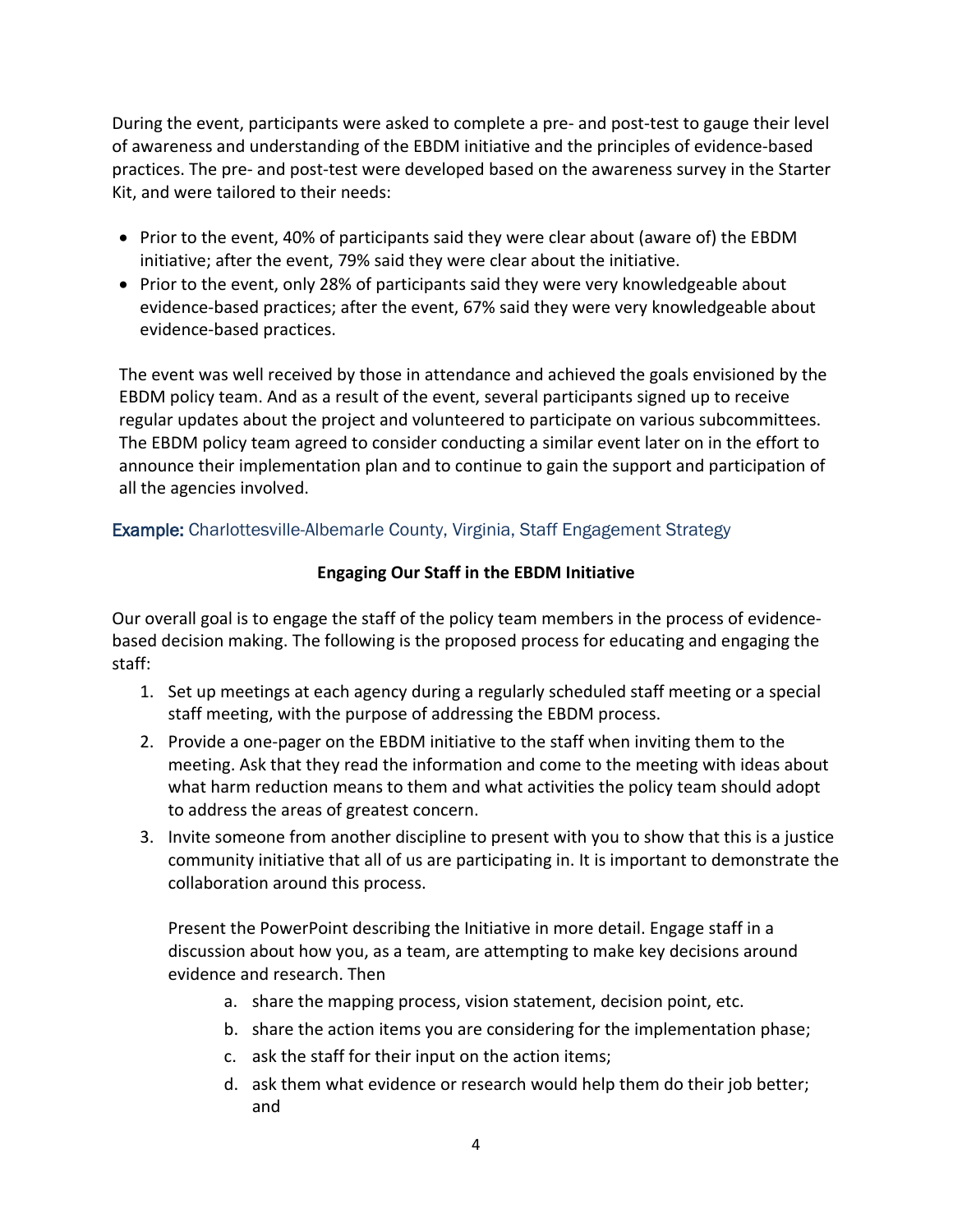During the event, participants were asked to complete a pre- and post-test to gauge their level of awareness and understanding of the EBDM initiative and the principles of evidence-based practices. The pre- and post-test were developed based on the awareness survey in the Starter Kit, and were tailored to their needs:

- Prior to the event, 40% of participants said they were clear about (aware of) the EBDM initiative; after the event, 79% said they were clear about the initiative.
- Prior to the event, only 28% of participants said they were very knowledgeable about evidence-based practices; after the event, 67% said they were very knowledgeable about evidence-based practices.

The event was well received by those in attendance and achieved the goals envisioned by the EBDM policy team. And as a result of the event, several participants signed up to receive regular updates about the project and volunteered to participate on various subcommittees. The EBDM policy team agreed to consider conducting a similar event later on in the effort to announce their implementation plan and to continue to gain the support and participation of all the agencies involved.

# Example: Charlottesville-Albemarle County, Virginia, Staff Engagement Strategy

### **Engaging Our Staff in the EBDM Initiative**

Our overall goal is to engage the staff of the policy team members in the process of evidencebased decision making. The following is the proposed process for educating and engaging the staff:

- 1. Set up meetings at each agency during a regularly scheduled staff meeting or a special staff meeting, with the purpose of addressing the EBDM process.
- 2. Provide a one-pager on the EBDM initiative to the staff when inviting them to the meeting. Ask that they read the information and come to the meeting with ideas about what harm reduction means to them and what activities the policy team should adopt to address the areas of greatest concern.
- 3. Invite someone from another discipline to present with you to show that this is a justice community initiative that all of us are participating in. It is important to demonstrate the collaboration around this process.

Present the PowerPoint describing the Initiative in more detail. Engage staff in a discussion about how you, as a team, are attempting to make key decisions around evidence and research. Then

- a. share the mapping process, vision statement, decision point, etc.
- b. share the action items you are considering for the implementation phase;
- c. ask the staff for their input on the action items;
- d. ask them what evidence or research would help them do their job better; and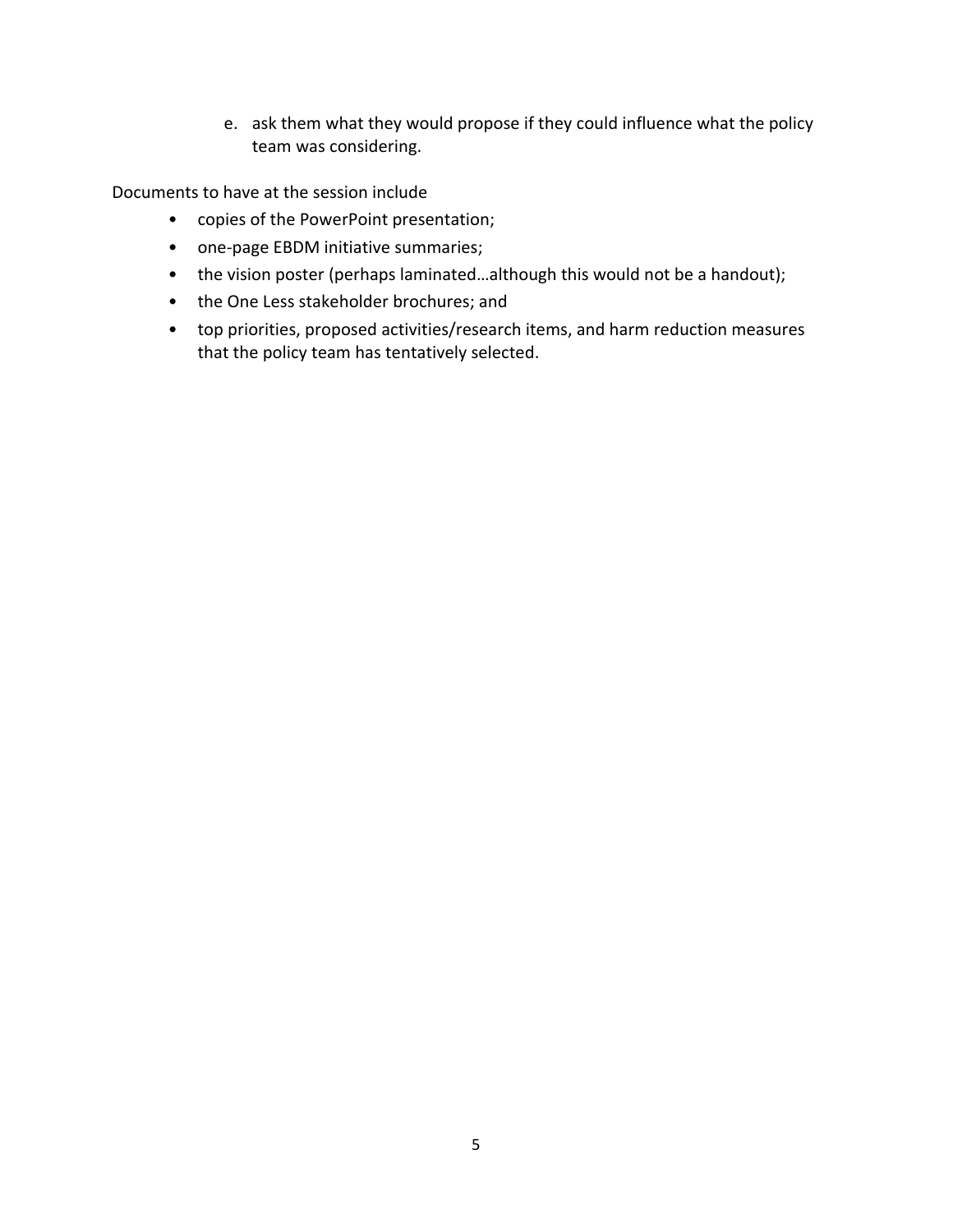e. ask them what they would propose if they could influence what the policy team was considering.

Documents to have at the session include

- copies of the PowerPoint presentation;
- one-page EBDM initiative summaries;
- the vision poster (perhaps laminated...although this would not be a handout);
- the One Less stakeholder brochures; and
- top priorities, proposed activities/research items, and harm reduction measures that the policy team has tentatively selected.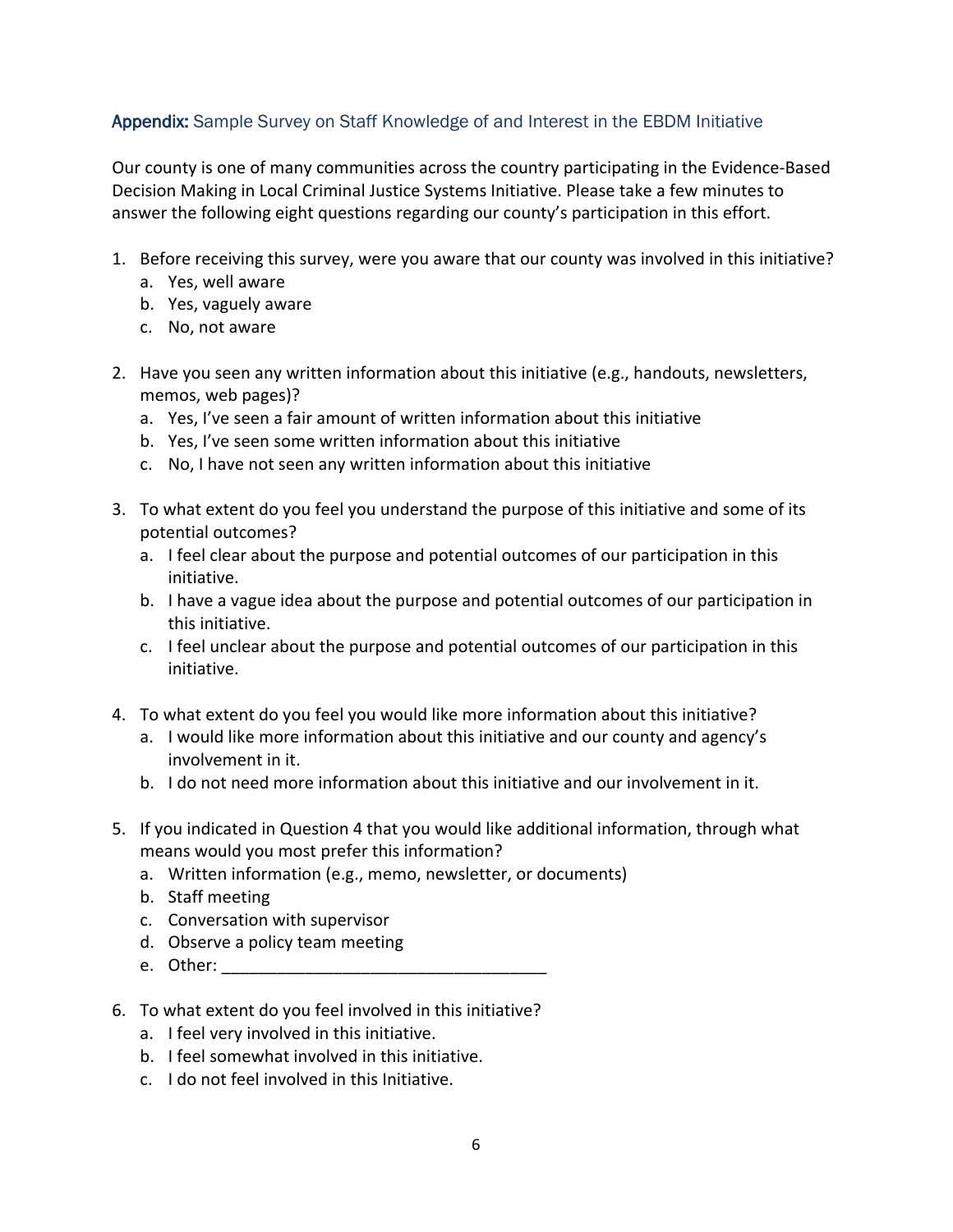# Appendix: Sample Survey on Staff Knowledge of and Interest in the EBDM Initiative

Our county is one of many communities across the country participating in the Evidence-Based Decision Making in Local Criminal Justice Systems Initiative. Please take a few minutes to answer the following eight questions regarding our county's participation in this effort.

- 1. Before receiving this survey, were you aware that our county was involved in this initiative?
	- a. Yes, well aware
	- b. Yes, vaguely aware
	- c. No, not aware
- 2. Have you seen any written information about this initiative (e.g., handouts, newsletters, memos, web pages)?
	- a. Yes, I've seen a fair amount of written information about this initiative
	- b. Yes, I've seen some written information about this initiative
	- c. No, I have not seen any written information about this initiative
- 3. To what extent do you feel you understand the purpose of this initiative and some of its potential outcomes?
	- a. I feel clear about the purpose and potential outcomes of our participation in this initiative.
	- b. I have a vague idea about the purpose and potential outcomes of our participation in this initiative.
	- c. I feel unclear about the purpose and potential outcomes of our participation in this initiative.
- 4. To what extent do you feel you would like more information about this initiative?
	- a. I would like more information about this initiative and our county and agency's involvement in it.
	- b. I do not need more information about this initiative and our involvement in it.
- 5. If you indicated in Question 4 that you would like additional information, through what means would you most prefer this information?
	- a. Written information (e.g., memo, newsletter, or documents)
	- b. Staff meeting
	- c. Conversation with supervisor
	- d. Observe a policy team meeting
	- e. Other:
- 6. To what extent do you feel involved in this initiative?
	- a. I feel very involved in this initiative.
	- b. I feel somewhat involved in this initiative.
	- c. I do not feel involved in this Initiative.